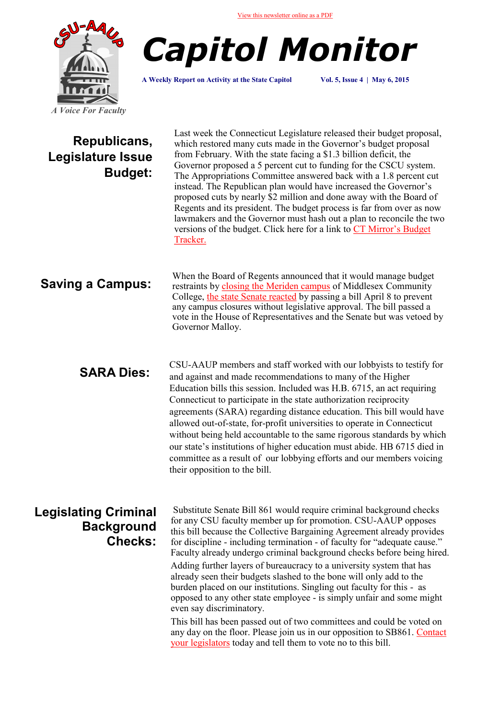

*Capitol Monitor*

**A Weekly Report on Activity at the State Capitol Vol. 5, Issue 4 | May 6, 2015**

| Republicans,<br>Legislature Issue<br><b>Budget:</b>                | Last week the Connecticut Legislature released their budget proposal,<br>which restored many cuts made in the Governor's budget proposal<br>from February. With the state facing a \$1.3 billion deficit, the<br>Governor proposed a 5 percent cut to funding for the CSCU system.<br>The Appropriations Committee answered back with a 1.8 percent cut<br>instead. The Republican plan would have increased the Governor's<br>proposed cuts by nearly \$2 million and done away with the Board of<br>Regents and its president. The budget process is far from over as now<br>lawmakers and the Governor must hash out a plan to reconcile the two<br>versions of the budget. Click here for a link to CT Mirror's Budget<br>Tracker.                                                                                                                                                                                   |
|--------------------------------------------------------------------|--------------------------------------------------------------------------------------------------------------------------------------------------------------------------------------------------------------------------------------------------------------------------------------------------------------------------------------------------------------------------------------------------------------------------------------------------------------------------------------------------------------------------------------------------------------------------------------------------------------------------------------------------------------------------------------------------------------------------------------------------------------------------------------------------------------------------------------------------------------------------------------------------------------------------|
| <b>Saving a Campus:</b>                                            | When the Board of Regents announced that it would manage budget<br>restraints by closing the Meriden campus of Middlesex Community<br>College, the state Senate reacted by passing a bill April 8 to prevent<br>any campus closures without legislative approval. The bill passed a<br>vote in the House of Representatives and the Senate but was vetoed by<br>Governor Malloy.                                                                                                                                                                                                                                                                                                                                                                                                                                                                                                                                         |
| <b>SARA Dies:</b>                                                  | CSU-AAUP members and staff worked with our lobbyists to testify for<br>and against and made recommendations to many of the Higher<br>Education bills this session. Included was H.B. 6715, an act requiring<br>Connecticut to participate in the state authorization reciprocity<br>agreements (SARA) regarding distance education. This bill would have<br>allowed out-of-state, for-profit universities to operate in Connecticut<br>without being held accountable to the same rigorous standards by which<br>our state's institutions of higher education must abide. HB 6715 died in<br>committee as a result of our lobbying efforts and our members voicing<br>their opposition to the bill.                                                                                                                                                                                                                      |
| <b>Legislating Criminal</b><br><b>Background</b><br><b>Checks:</b> | Substitute Senate Bill 861 would require criminal background checks<br>for any CSU faculty member up for promotion. CSU-AAUP opposes<br>this bill because the Collective Bargaining Agreement already provides<br>for discipline - including termination - of faculty for "adequate cause."<br>Faculty already undergo criminal background checks before being hired.<br>Adding further layers of bureaucracy to a university system that has<br>already seen their budgets slashed to the bone will only add to the<br>burden placed on our institutions. Singling out faculty for this - as<br>opposed to any other state employee - is simply unfair and some might<br>even say discriminatory.<br>This bill has been passed out of two committees and could be voted on<br>any day on the floor. Please join us in our opposition to SB861. Contact<br>your legislators today and tell them to vote no to this bill. |